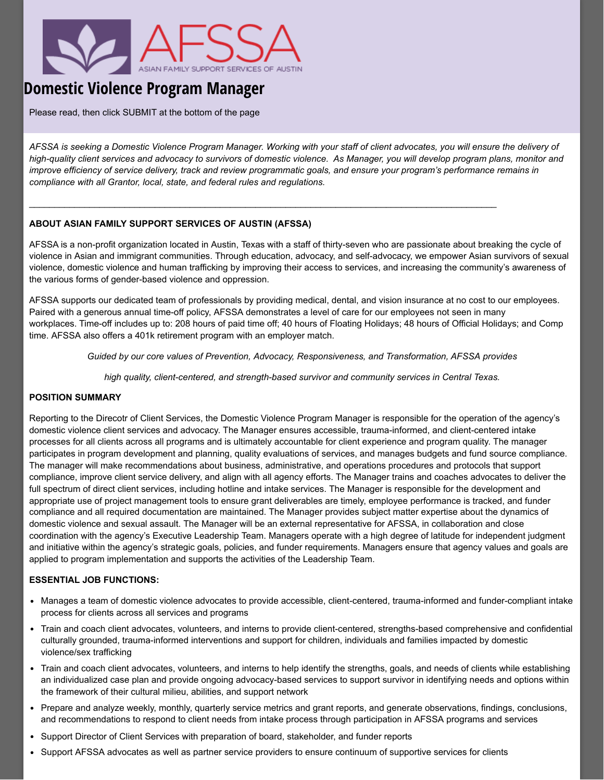

# **Domestic Violence Program Manager**

Please read, then click SUBMIT at the bottom of the page

*AFSSA is seeking a Domestic Violence Program Manager. Working with your staff of client advocates, you will ensure the delivery of high-quality client services and advocacy to survivors of domestic violence. As Manager, you will develop program plans, monitor and improve efficiency of service delivery, track and review programmatic goals, and ensure your program's performance remains in compliance with all Grantor, local, state, and federal rules and regulations.*

 $\_$  , and the state of the state of the state of the state of the state of the state of the state of the state of the state of the state of the state of the state of the state of the state of the state of the state of the

## **ABOUT ASIAN FAMILY SUPPORT SERVICES OF AUSTIN (AFSSA)**

AFSSA is a non-profit organization located in Austin, Texas with a staff of thirty-seven who are passionate about breaking the cycle of violence in Asian and immigrant communities. Through education, advocacy, and self-advocacy, we empower Asian survivors of sexual violence, domestic violence and human trafficking by improving their access to services, and increasing the community's awareness of the various forms of gender-based violence and oppression.

AFSSA supports our dedicated team of professionals by providing medical, dental, and vision insurance at no cost to our employees. Paired with a generous annual time-off policy, AFSSA demonstrates a level of care for our employees not seen in many workplaces. Time-off includes up to: 208 hours of paid time off; 40 hours of Floating Holidays; 48 hours of Official Holidays; and Comp time. AFSSA also offers a 401k retirement program with an employer match.

*Guided by our core values of Prevention, Advocacy, Responsiveness, and Transformation, AFSSA provides*

*high quality, client-centered, and strength-based survivor and community services in Central Texas.*

## **POSITION SUMMARY**

Reporting to the Direcotr of Client Services, the Domestic Violence Program Manager is responsible for the operation of the agency's domestic violence client services and advocacy. The Manager ensures accessible, trauma-informed, and client-centered intake processes for all clients across all programs and is ultimately accountable for client experience and program quality. The manager participates in program development and planning, quality evaluations of services, and manages budgets and fund source compliance. The manager will make recommendations about business, administrative, and operations procedures and protocols that support compliance, improve client service delivery, and align with all agency efforts. The Manager trains and coaches advocates to deliver the full spectrum of direct client services, including hotline and intake services. The Manager is responsible for the development and appropriate use of project management tools to ensure grant deliverables are timely, employee performance is tracked, and funder compliance and all required documentation are maintained. The Manager provides subject matter expertise about the dynamics of domestic violence and sexual assault. The Manager will be an external representative for AFSSA, in collaboration and close coordination with the agency's Executive Leadership Team. Managers operate with a high degree of latitude for independent judgment and initiative within the agency's strategic goals, policies, and funder requirements. Managers ensure that agency values and goals are applied to program implementation and supports the activities of the Leadership Team.

### **ESSENTIAL JOB FUNCTIONS:**

- Manages a team of domestic violence advocates to provide accessible, client-centered, trauma-informed and funder-compliant intake process for clients across all services and programs
- Train and coach client advocates, volunteers, and interns to provide client-centered, strengths-based comprehensive and confidential culturally grounded, trauma-informed interventions and support for children, individuals and families impacted by domestic violence/sex trafficking
- Train and coach client advocates, volunteers, and interns to help identify the strengths, goals, and needs of clients while establishing an individualized case plan and provide ongoing advocacy-based services to support survivor in identifying needs and options within the framework of their cultural milieu, abilities, and support network
- Prepare and analyze weekly, monthly, quarterly service metrics and grant reports, and generate observations, findings, conclusions, and recommendations to respond to client needs from intake process through participation in AFSSA programs and services
- Support Director of Client Services with preparation of board, stakeholder, and funder reports
- Support AFSSA advocates as well as partner service providers to ensure continuum of supportive services for clients